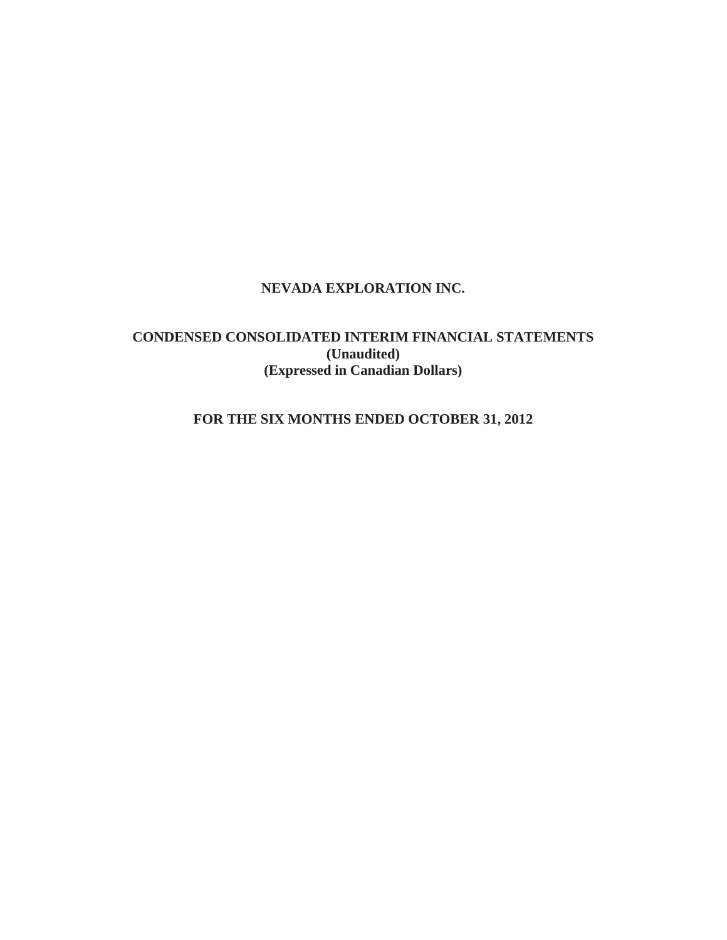# **NEVADA EXPLORATION INC.**

# **CONDENSED CONSOLIDATED INTERIM FINANCIAL STATEMENTS (Unaudited) (Expressed in Canadian Dollars)**

# **FOR THE SIX MONTHS ENDED OCTOBER 31, 2012**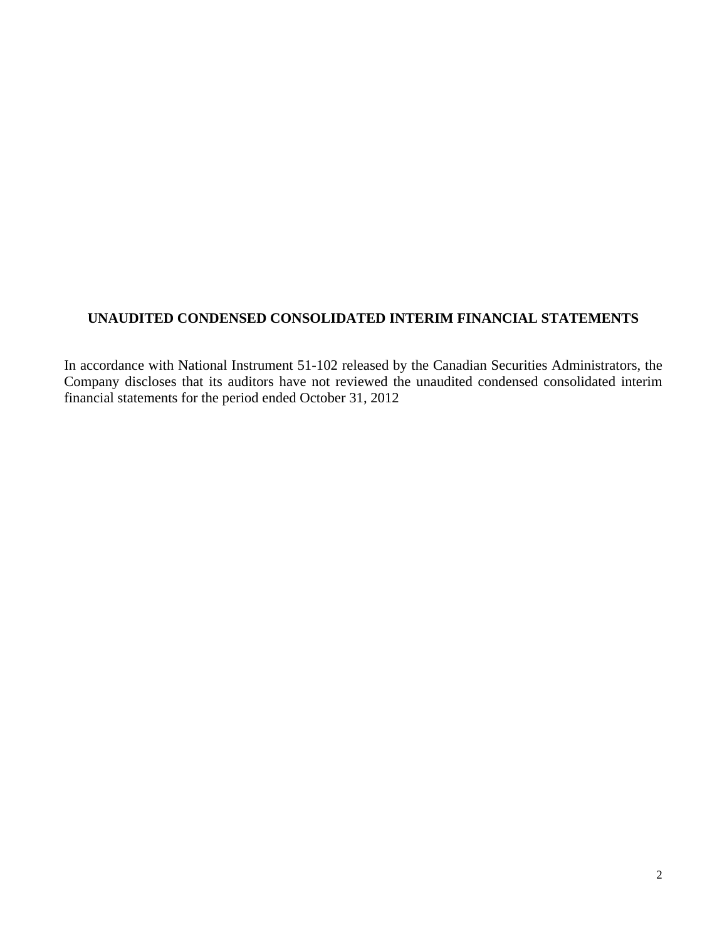# **UNAUDITED CONDENSED CONSOLIDATED INTERIM FINANCIAL STATEMENTS**

In accordance with National Instrument 51-102 released by the Canadian Securities Administrators, the Company discloses that its auditors have not reviewed the unaudited condensed consolidated interim financial statements for the period ended October 31, 2012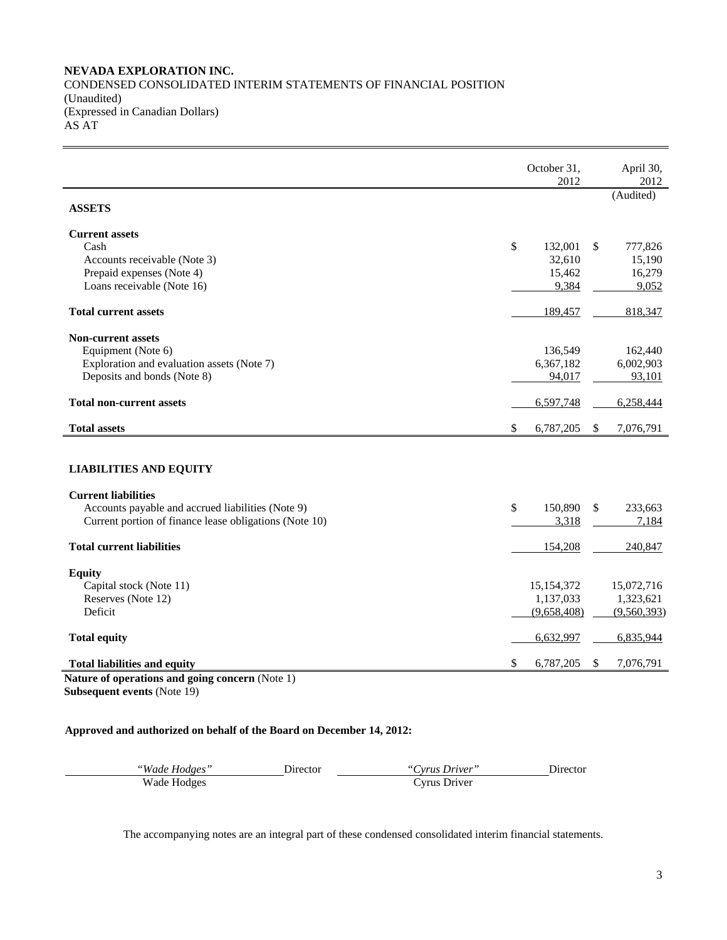## **NEVADA EXPLORATION INC.**  CONDENSED CONSOLIDATED INTERIM STATEMENTS OF FINANCIAL POSITION (Unaudited) (Expressed in Canadian Dollars) AS AT

|                                                                                        | October 31,<br>2012 | April 30,<br>2012        |
|----------------------------------------------------------------------------------------|---------------------|--------------------------|
| <b>ASSETS</b>                                                                          |                     | (Audited)                |
| <b>Current assets</b>                                                                  |                     |                          |
| Cash                                                                                   | \$<br>132,001       | 777,826<br><sup>\$</sup> |
| Accounts receivable (Note 3)                                                           | 32,610              | 15,190                   |
| Prepaid expenses (Note 4)                                                              | 15,462              | 16,279                   |
| Loans receivable (Note 16)                                                             | 9,384               | 9,052                    |
| <b>Total current assets</b>                                                            | 189,457             | 818,347                  |
| <b>Non-current assets</b>                                                              |                     |                          |
| Equipment (Note 6)                                                                     | 136,549             | 162,440                  |
| Exploration and evaluation assets (Note 7)                                             | 6,367,182           | 6,002,903                |
| Deposits and bonds (Note 8)                                                            | 94.017              | 93,101                   |
| <b>Total non-current assets</b>                                                        | 6,597,748           | 6,258,444                |
| <b>Total assets</b>                                                                    | \$<br>6,787,205     | \$<br>7,076,791          |
| <b>LIABILITIES AND EQUITY</b>                                                          |                     |                          |
| <b>Current liabilities</b>                                                             |                     |                          |
| Accounts payable and accrued liabilities (Note 9)                                      | 150,890<br>\$       | 233,663<br>\$            |
| Current portion of finance lease obligations (Note 10)                                 | 3,318               | 7,184                    |
| <b>Total current liabilities</b>                                                       | 154,208             | 240,847                  |
| <b>Equity</b>                                                                          |                     |                          |
| Capital stock (Note 11)                                                                | 15,154,372          | 15,072,716               |
| Reserves (Note 12)                                                                     | 1,137,033           | 1,323,621                |
| Deficit                                                                                | (9,658,408)         | (9,560,393)              |
| <b>Total equity</b>                                                                    | 6,632,997           | 6,835,944                |
| <b>Total liabilities and equity</b><br>Nature of operations and going concern (Note 1) | \$<br>6,787,205     | 7,076,791<br>\$          |

**Subsequent events** (Note 19)

## **Approved and authorized on behalf of the Board on December 14, 2012:**

| "Wade Hodges" | <b>Director</b> | "Cyrus Driver" | Director |
|---------------|-----------------|----------------|----------|
| Wade Hodges   |                 | Cyrus Driver   |          |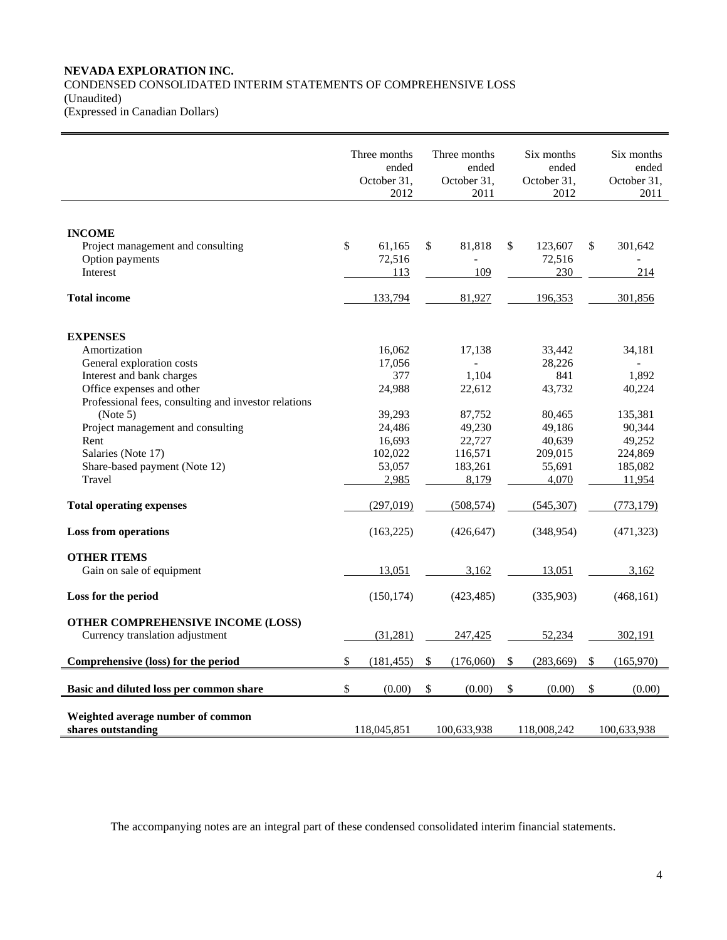## **NEVADA EXPLORATION INC.**  CONDENSED CONSOLIDATED INTERIM STATEMENTS OF COMPREHENSIVE LOSS (Unaudited) (Expressed in Canadian Dollars)

|                                                                                                                                                                      | Three months<br>ended<br>October 31,<br>2012    |               | Three months<br>ended<br>October 31,<br>2011     | Six months<br>ended<br>October 31,<br>2012      | Six months<br>ended<br>October 31,<br>2011        |
|----------------------------------------------------------------------------------------------------------------------------------------------------------------------|-------------------------------------------------|---------------|--------------------------------------------------|-------------------------------------------------|---------------------------------------------------|
| <b>INCOME</b><br>Project management and consulting<br>Option payments<br>Interest                                                                                    | \$<br>61,165<br>72,516<br>113                   | $\mathsf{\$}$ | 81,818<br>109                                    | \$<br>123,607<br>72,516<br>230                  | \$<br>301,642<br>214                              |
| <b>Total income</b>                                                                                                                                                  | 133,794                                         |               | 81,927                                           | 196,353                                         | 301,856                                           |
| <b>EXPENSES</b><br>Amortization<br>General exploration costs<br>Interest and bank charges<br>Office expenses and other                                               | 16,062<br>17,056<br>377<br>24,988               |               | 17,138<br>1,104<br>22,612                        | 33,442<br>28,226<br>841<br>43,732               | 34,181<br>1,892<br>40,224                         |
| Professional fees, consulting and investor relations<br>(Note 5)<br>Project management and consulting<br>Rent<br>Salaries (Note 17)<br>Share-based payment (Note 12) | 39,293<br>24,486<br>16,693<br>102,022<br>53,057 |               | 87,752<br>49,230<br>22,727<br>116,571<br>183,261 | 80,465<br>49,186<br>40,639<br>209,015<br>55,691 | 135,381<br>90,344<br>49,252<br>224,869<br>185,082 |
| Travel<br><b>Total operating expenses</b>                                                                                                                            | 2,985<br>(297, 019)                             |               | 8,179<br>(508, 574)                              | 4,070<br>(545, 307)                             | 11,954<br>(773, 179)                              |
| <b>Loss from operations</b>                                                                                                                                          | (163, 225)                                      |               | (426, 647)                                       | (348, 954)                                      | (471, 323)                                        |
| <b>OTHER ITEMS</b><br>Gain on sale of equipment                                                                                                                      | 13,051                                          |               | 3,162                                            | 13,051                                          | 3,162                                             |
| Loss for the period                                                                                                                                                  | (150, 174)                                      |               | (423, 485)                                       | (335,903)                                       | (468, 161)                                        |
| OTHER COMPREHENSIVE INCOME (LOSS)<br>Currency translation adjustment                                                                                                 | (31,281)                                        |               | 247,425                                          | 52,234                                          | 302,191                                           |
| Comprehensive (loss) for the period                                                                                                                                  | \$<br>(181, 455)                                | \$            | (176,060)                                        | \$<br>(283, 669)                                | \$<br>(165,970)                                   |
| Basic and diluted loss per common share                                                                                                                              | \$<br>(0.00)                                    | $\mathbb{S}$  | (0.00)                                           | \$<br>(0.00)                                    | \$<br>(0.00)                                      |
| Weighted average number of common<br>shares outstanding                                                                                                              | 118,045,851                                     |               | 100,633,938                                      | 118,008,242                                     | 100,633,938                                       |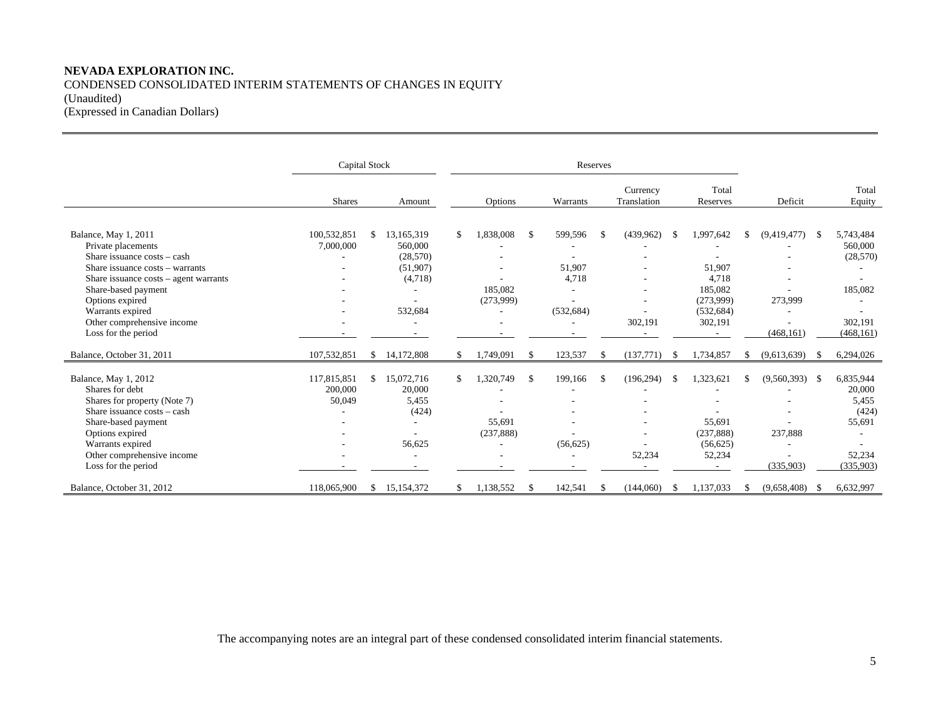# **NEVADA EXPLORATION INC.**  CONDENSED CONSOLIDATED INTERIM STATEMENTS OF CHANGES IN EQUITY (Unaudited) (Expressed in Canadian Dollars)

|                                                                                                                                                                                                                                                                          | Capital Stock                    |     |                                                                              |    |                                                               |    | Reserves                                         |               |                         |    |                                                                                      |               |                                                                 |              |                                                                        |
|--------------------------------------------------------------------------------------------------------------------------------------------------------------------------------------------------------------------------------------------------------------------------|----------------------------------|-----|------------------------------------------------------------------------------|----|---------------------------------------------------------------|----|--------------------------------------------------|---------------|-------------------------|----|--------------------------------------------------------------------------------------|---------------|-----------------------------------------------------------------|--------------|------------------------------------------------------------------------|
|                                                                                                                                                                                                                                                                          | <b>Shares</b>                    |     | Amount                                                                       |    | Options                                                       |    | Warrants                                         |               | Currency<br>Translation |    | Total<br>Reserves                                                                    |               | Deficit                                                         |              | Total<br>Equity                                                        |
| Balance, May 1, 2011<br>Private placements<br>Share issuance costs – cash<br>Share issuance costs - warrants<br>Share issuance costs - agent warrants<br>Share-based payment<br>Options expired<br>Warrants expired<br>Other comprehensive income<br>Loss for the period | 100,532,851<br>7,000,000         | \$  | 13,165,319<br>560,000<br>(28, 570)<br>(51,907)<br>(4,718)<br>532,684         | \$ | 1,838,008<br>185,082<br>(273,999)<br>٠                        | -S | 599,596<br>51,907<br>4,718<br>(532, 684)         | <sup>\$</sup> | (439.962)<br>302,191    | -S | 1,997,642<br>51,907<br>4,718<br>185,082<br>(273,999)<br>(532, 684)<br>302,191        | \$.           | (9,419,477)<br>273,999<br>(468, 161)                            | -S           | 5,743,484<br>560,000<br>(28, 570)<br>185,082<br>302,191<br>(468, 161)  |
| Balance, October 31, 2011                                                                                                                                                                                                                                                | 107,532,851                      | \$  | 14,172,808                                                                   | S. | 1,749,091                                                     | -S | 123,537                                          | \$            | (137,771)               | -S | 1,734,857                                                                            | <sup>\$</sup> | (9,613,639)                                                     | -S           | 6,294,026                                                              |
| Balance, May 1, 2012<br>Shares for debt<br>Shares for property (Note 7)<br>Share issuance $costs - cash$<br>Share-based payment<br>Options expired<br>Warrants expired<br>Other comprehensive income<br>Loss for the period                                              | 117,815,851<br>200,000<br>50,049 | \$. | 15,072,716<br>20,000<br>5,455<br>(424)<br>56,625<br>$\overline{\phantom{a}}$ | \$ | 1,320,749<br>55.691<br>(237, 888)<br>$\overline{\phantom{a}}$ | -S | 199.166<br>(56, 625)<br>$\overline{\phantom{a}}$ | <sup>\$</sup> | (196.294)<br>52,234     |    | 1,323,621<br>55,691<br>(237, 888)<br>(56, 625)<br>52,234<br>$\overline{\phantom{a}}$ |               | (9,560,393)<br>237,888<br>$\overline{\phantom{a}}$<br>(335,903) | $\mathbb{S}$ | 6,835,944<br>20,000<br>5,455<br>(424)<br>55,691<br>52,234<br>(335,903) |
| Balance, October 31, 2012                                                                                                                                                                                                                                                | 118,065,900                      | \$  | 15,154,372                                                                   |    | 1,138,552                                                     | -S | 142,541                                          | \$            | (144,060)               | -S | 1,137,033                                                                            |               | (9,658,408)                                                     | - \$         | 6,632,997                                                              |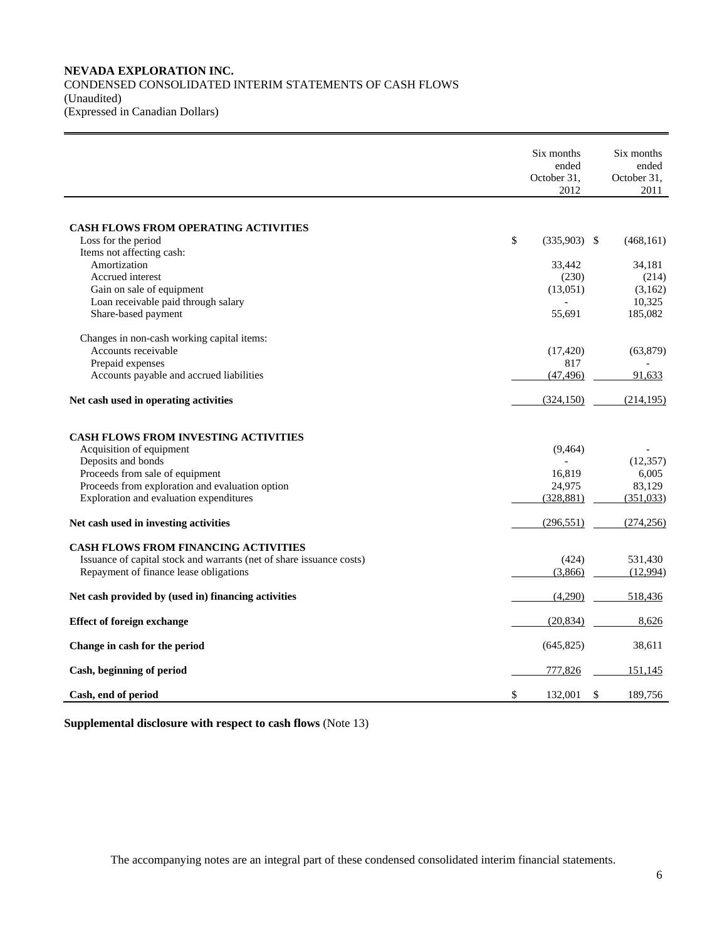## **NEVADA EXPLORATION INC.**  CONDENSED CONSOLIDATED INTERIM STATEMENTS OF CASH FLOWS (Unaudited) (Expressed in Canadian Dollars)

|                                                                      | Six months<br>ended  | Six months<br>ended |
|----------------------------------------------------------------------|----------------------|---------------------|
|                                                                      | October 31,<br>2012  | October 31,<br>2011 |
| <b>CASH FLOWS FROM OPERATING ACTIVITIES</b>                          |                      |                     |
| Loss for the period                                                  | \$<br>$(335,903)$ \$ | (468, 161)          |
| Items not affecting cash:                                            |                      |                     |
| Amortization                                                         | 33,442               | 34,181              |
| Accrued interest                                                     | (230)                | (214)               |
| Gain on sale of equipment                                            | (13,051)             | (3,162)             |
| Loan receivable paid through salary                                  |                      | 10,325              |
| Share-based payment                                                  | 55,691               | 185,082             |
| Changes in non-cash working capital items:                           |                      |                     |
| Accounts receivable                                                  | (17, 420)            | (63, 879)           |
| Prepaid expenses                                                     | 817                  |                     |
| Accounts payable and accrued liabilities                             | (47, 496)            | 91,633              |
| Net cash used in operating activities                                | (324, 150)           | (214.195)           |
| <b>CASH FLOWS FROM INVESTING ACTIVITIES</b>                          |                      |                     |
| Acquisition of equipment                                             | (9, 464)             |                     |
| Deposits and bonds                                                   |                      | (12, 357)           |
| Proceeds from sale of equipment                                      | 16,819               | 6,005               |
| Proceeds from exploration and evaluation option                      | 24,975               | 83,129              |
| Exploration and evaluation expenditures                              | (328, 881)           | (351,033)           |
| Net cash used in investing activities                                | (296, 551)           | (274, 256)          |
| <b>CASH FLOWS FROM FINANCING ACTIVITIES</b>                          |                      |                     |
| Issuance of capital stock and warrants (net of share issuance costs) | (424)                | 531,430             |
| Repayment of finance lease obligations                               | (3,866)              | (12,994)            |
| Net cash provided by (used in) financing activities                  | (4,290)              | 518,436             |
| <b>Effect of foreign exchange</b>                                    | (20, 834)            | 8,626               |
| Change in cash for the period                                        | (645, 825)           | 38,611              |
| Cash, beginning of period                                            | 777,826              | 151,145             |
| Cash, end of period                                                  | \$<br>132,001        | \$<br>189,756       |

**Supplemental disclosure with respect to cash flows** (Note 13)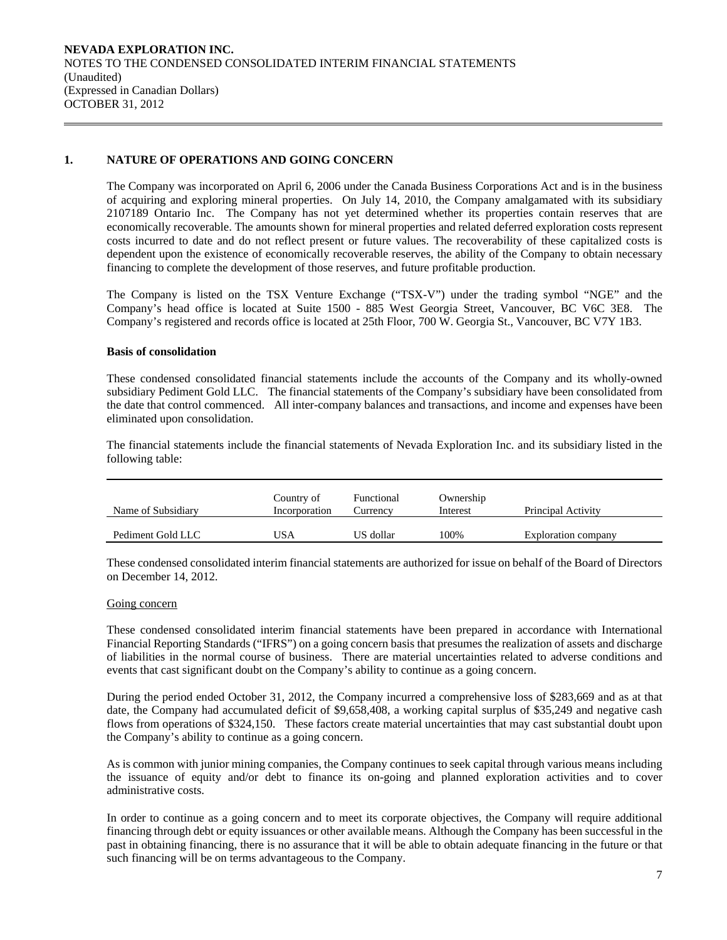# **1. NATURE OF OPERATIONS AND GOING CONCERN**

The Company was incorporated on April 6, 2006 under the Canada Business Corporations Act and is in the business of acquiring and exploring mineral properties. On July 14, 2010, the Company amalgamated with its subsidiary 2107189 Ontario Inc. The Company has not yet determined whether its properties contain reserves that are economically recoverable. The amounts shown for mineral properties and related deferred exploration costs represent costs incurred to date and do not reflect present or future values. The recoverability of these capitalized costs is dependent upon the existence of economically recoverable reserves, the ability of the Company to obtain necessary financing to complete the development of those reserves, and future profitable production.

The Company is listed on the TSX Venture Exchange ("TSX-V") under the trading symbol "NGE" and the Company's head office is located at Suite 1500 - 885 West Georgia Street, Vancouver, BC V6C 3E8. The Company's registered and records office is located at 25th Floor, 700 W. Georgia St., Vancouver, BC V7Y 1B3.

## **Basis of consolidation**

 These condensed consolidated financial statements include the accounts of the Company and its wholly-owned subsidiary Pediment Gold LLC. The financial statements of the Company's subsidiary have been consolidated from the date that control commenced. All inter-company balances and transactions, and income and expenses have been eliminated upon consolidation.

The financial statements include the financial statements of Nevada Exploration Inc. and its subsidiary listed in the following table:

| Name of Subsidiary | Country of<br>Incorporation | Functional<br>Currencv | Ownership<br>Interest | Principal Activity  |
|--------------------|-----------------------------|------------------------|-----------------------|---------------------|
| Pediment Gold LLC  | JSA                         | US dollar              | 100%                  | Exploration company |

 These condensed consolidated interim financial statements are authorized for issue on behalf of the Board of Directors on December 14, 2012.

#### Going concern

These condensed consolidated interim financial statements have been prepared in accordance with International Financial Reporting Standards ("IFRS") on a going concern basis that presumes the realization of assets and discharge of liabilities in the normal course of business. There are material uncertainties related to adverse conditions and events that cast significant doubt on the Company's ability to continue as a going concern.

During the period ended October 31, 2012, the Company incurred a comprehensive loss of \$283,669 and as at that date, the Company had accumulated deficit of \$9,658,408, a working capital surplus of \$35,249 and negative cash flows from operations of \$324,150. These factors create material uncertainties that may cast substantial doubt upon the Company's ability to continue as a going concern.

As is common with junior mining companies, the Company continues to seek capital through various means including the issuance of equity and/or debt to finance its on-going and planned exploration activities and to cover administrative costs.

In order to continue as a going concern and to meet its corporate objectives, the Company will require additional financing through debt or equity issuances or other available means. Although the Company has been successful in the past in obtaining financing, there is no assurance that it will be able to obtain adequate financing in the future or that such financing will be on terms advantageous to the Company.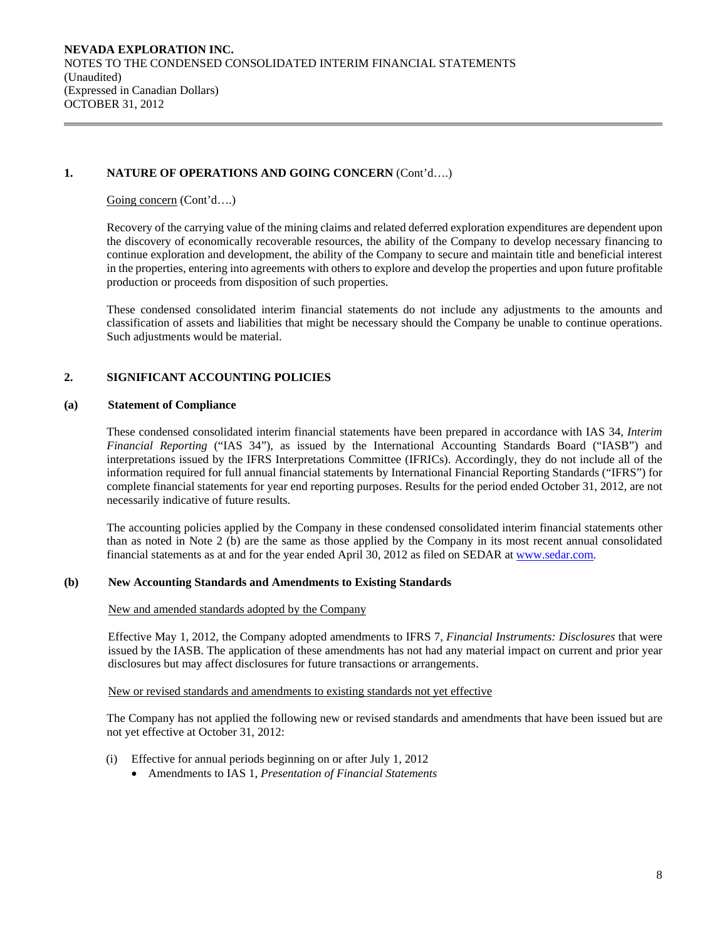# **1. NATURE OF OPERATIONS AND GOING CONCERN** (Cont'd….)

Going concern (Cont'd....)

 Recovery of the carrying value of the mining claims and related deferred exploration expenditures are dependent upon the discovery of economically recoverable resources, the ability of the Company to develop necessary financing to continue exploration and development, the ability of the Company to secure and maintain title and beneficial interest in the properties, entering into agreements with others to explore and develop the properties and upon future profitable production or proceeds from disposition of such properties.

 These condensed consolidated interim financial statements do not include any adjustments to the amounts and classification of assets and liabilities that might be necessary should the Company be unable to continue operations. Such adjustments would be material.

# **2. SIGNIFICANT ACCOUNTING POLICIES**

## **(a) Statement of Compliance**

 These condensed consolidated interim financial statements have been prepared in accordance with IAS 34, *Interim Financial Reporting* ("IAS 34"), as issued by the International Accounting Standards Board ("IASB") and interpretations issued by the IFRS Interpretations Committee (IFRICs). Accordingly, they do not include all of the information required for full annual financial statements by International Financial Reporting Standards ("IFRS") for complete financial statements for year end reporting purposes. Results for the period ended October 31, 2012, are not necessarily indicative of future results.

 The accounting policies applied by the Company in these condensed consolidated interim financial statements other than as noted in Note 2 (b) are the same as those applied by the Company in its most recent annual consolidated financial statements as at and for the year ended April 30, 2012 as filed on SEDAR at www.sedar.com.

#### **(b) New Accounting Standards and Amendments to Existing Standards**

#### New and amended standards adopted by the Company

 Effective May 1, 2012, the Company adopted amendments to IFRS 7, *Financial Instruments: Disclosures* that were issued by the IASB. The application of these amendments has not had any material impact on current and prior year disclosures but may affect disclosures for future transactions or arrangements.

New or revised standards and amendments to existing standards not yet effective

 The Company has not applied the following new or revised standards and amendments that have been issued but are not yet effective at October 31, 2012:

- (i) Effective for annual periods beginning on or after July 1, 2012
	- Amendments to IAS 1, *Presentation of Financial Statements*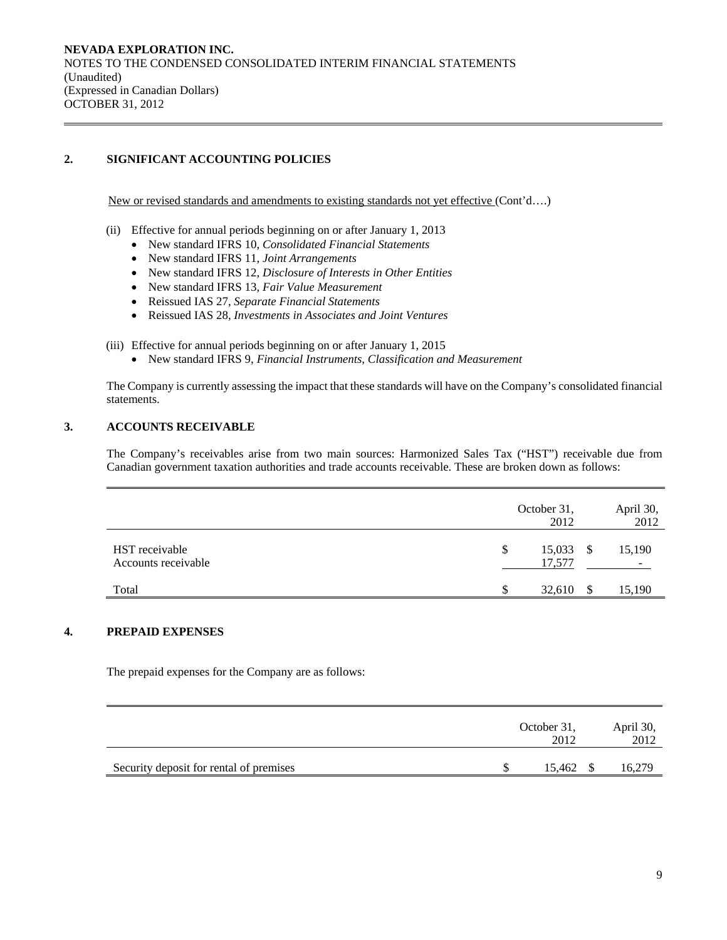# **2. SIGNIFICANT ACCOUNTING POLICIES**

New or revised standards and amendments to existing standards not yet effective (Cont'd….)

- (ii) Effective for annual periods beginning on or after January 1, 2013
	- New standard IFRS 10, *Consolidated Financial Statements*
	- New standard IFRS 11, *Joint Arrangements*
	- New standard IFRS 12, *Disclosure of Interests in Other Entities*
	- New standard IFRS 13, *Fair Value Measurement*
	- Reissued IAS 27, *Separate Financial Statements*
	- Reissued IAS 28, *Investments in Associates and Joint Ventures*
- (iii) Effective for annual periods beginning on or after January 1, 2015
	- New standard IFRS 9, *Financial Instruments, Classification and Measurement*

The Company is currently assessing the impact that these standards will have on the Company's consolidated financial statements.

## **3. ACCOUNTS RECEIVABLE**

The Company's receivables arise from two main sources: Harmonized Sales Tax ("HST") receivable due from Canadian government taxation authorities and trade accounts receivable. These are broken down as follows:

|                                       | October 31,<br>2012    |               | April 30,<br>2012                  |
|---------------------------------------|------------------------|---------------|------------------------------------|
| HST receivable<br>Accounts receivable | 15,033<br>\$<br>17,577 | $\mathcal{S}$ | 15,190<br>$\overline{\phantom{0}}$ |
| Total                                 | 32,610                 |               | 15,190                             |

## **4. PREPAID EXPENSES**

The prepaid expenses for the Company are as follows:

|                                         | October 31,<br>2012 | April 30,<br>2012 |
|-----------------------------------------|---------------------|-------------------|
| Security deposit for rental of premises | 15.462 \$           | .6,279            |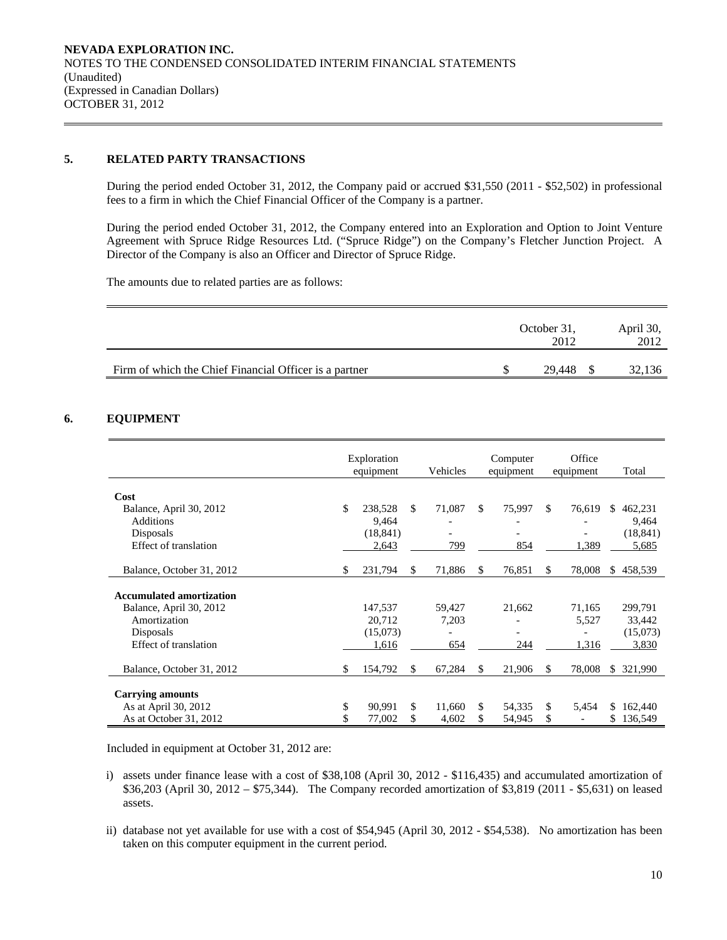# **5. RELATED PARTY TRANSACTIONS**

 During the period ended October 31, 2012, the Company paid or accrued \$31,550 (2011 - \$52,502) in professional fees to a firm in which the Chief Financial Officer of the Company is a partner.

During the period ended October 31, 2012, the Company entered into an Exploration and Option to Joint Venture Agreement with Spruce Ridge Resources Ltd. ("Spruce Ridge") on the Company's Fletcher Junction Project. A Director of the Company is also an Officer and Director of Spruce Ridge.

The amounts due to related parties are as follows:

|                                                        | October 31.<br>2012 | April 30,<br>2012 |
|--------------------------------------------------------|---------------------|-------------------|
| Firm of which the Chief Financial Officer is a partner | 29.448              | 32,136            |

## **6. EQUIPMENT**

|                                 | Exploration<br>equipment |     | Vehicles |     | Computer<br>equipment |     | Office<br>equipment |     | Total     |
|---------------------------------|--------------------------|-----|----------|-----|-----------------------|-----|---------------------|-----|-----------|
|                                 |                          |     |          |     |                       |     |                     |     |           |
| Cost                            |                          |     |          |     |                       |     |                     |     |           |
| Balance, April 30, 2012         | \$<br>238,528            | \$. | 71,087   | \$. | 75,997                | \$. | 76,619              | \$  | 462,231   |
| <b>Additions</b>                | 9,464                    |     |          |     |                       |     |                     |     | 9,464     |
| Disposals                       | (18, 841)                |     |          |     |                       |     |                     |     | (18, 841) |
| Effect of translation           | 2,643                    |     | 799      |     | 854                   |     | 1,389               |     | 5,685     |
| Balance, October 31, 2012       | \$<br>231,794            | \$  | 71,886   | \$  | 76,851                | \$. | 78,008              |     | \$458,539 |
| <b>Accumulated amortization</b> |                          |     |          |     |                       |     |                     |     |           |
| Balance, April 30, 2012         | 147,537                  |     | 59,427   |     | 21,662                |     | 71,165              |     | 299,791   |
| Amortization                    |                          |     |          |     |                       |     |                     |     |           |
|                                 | 20,712                   |     | 7,203    |     |                       |     | 5,527               |     | 33,442    |
| Disposals                       | (15,073)                 |     |          |     |                       |     |                     |     | (15,073)  |
| Effect of translation           | 1,616                    |     | 654      |     | 244                   |     | 1,316               |     | 3,830     |
| Balance, October 31, 2012       | \$<br>154,792            | \$  | 67,284   | \$  | 21,906                | S.  | 78,008              | \$. | 321,990   |
| <b>Carrying amounts</b>         |                          |     |          |     |                       |     |                     |     |           |
|                                 |                          |     |          |     |                       |     |                     |     |           |
| As at April 30, 2012            | \$<br>90.991             | \$  | 11.660   | \$  | 54,335                | \$. | 5,454               | S.  | 162,440   |
| As at October 31, 2012          | 77,002                   | \$  | 4,602    | \$  | 54,945                | \$  |                     | \$  | 136,549   |

Included in equipment at October 31, 2012 are:

- i) assets under finance lease with a cost of \$38,108 (April 30, 2012 \$116,435) and accumulated amortization of \$36,203 (April 30, 2012 – \$75,344). The Company recorded amortization of \$3,819 (2011 - \$5,631) on leased assets.
- ii) database not yet available for use with a cost of \$54,945 (April 30, 2012 \$54,538). No amortization has been taken on this computer equipment in the current period.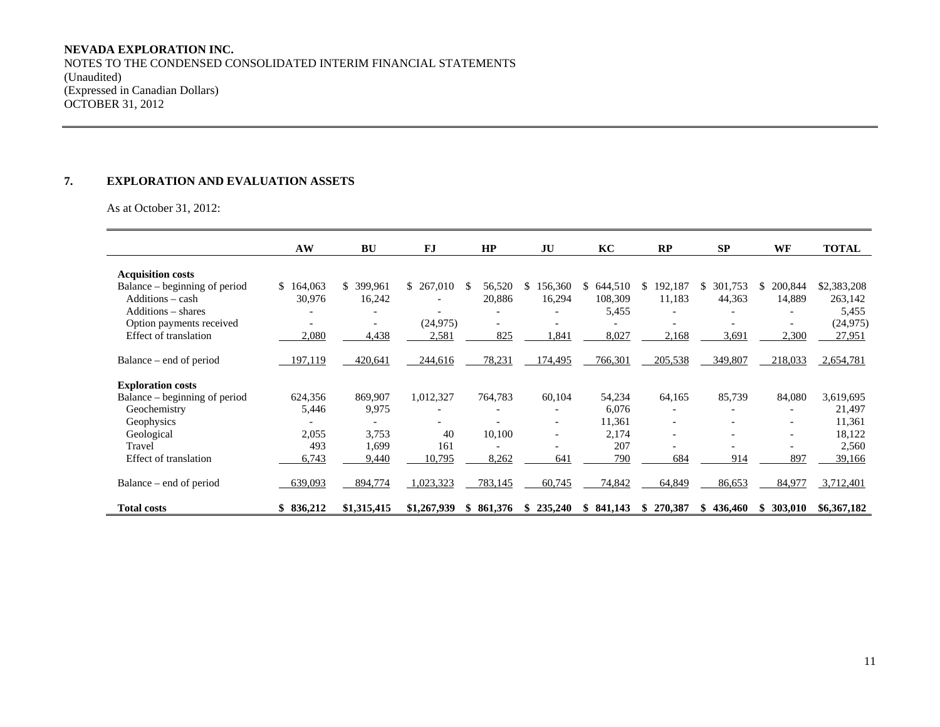#### **NEVADA EXPLORATION INC.**

NOTES TO THE CONDENSED CONSOLIDATED INTERIM FINANCIAL STATEMENTS (Unaudited) (Expressed in Canadian Dollars) OCTOBER 31, 2012

## **7. EXPLORATION AND EVALUATION ASSETS**

As at October 31, 2012:

|                               | AW            | <b>BU</b>                | <b>FJ</b>   | HP                           | JU                       | KC            | RP                       | <b>SP</b>    | WF                       | <b>TOTAL</b> |
|-------------------------------|---------------|--------------------------|-------------|------------------------------|--------------------------|---------------|--------------------------|--------------|--------------------------|--------------|
| <b>Acquisition costs</b>      |               |                          |             |                              |                          |               |                          |              |                          |              |
| Balance – beginning of period | 164,063<br>\$ | \$ 399,961               | \$267,010   | 56,520<br>-8                 | 156,360<br>S.            | 644,510<br>S. | 192,187<br>S.            | 301,753<br>S | 200,844<br>S.            | \$2,383,208  |
| Additions - cash              | 30,976        | 16,242                   |             | 20,886                       | 16,294                   | 108,309       | 11,183                   | 44,363       | 14,889                   | 263,142      |
| Additions - shares            |               |                          |             | $\overline{a}$               | $\overline{\phantom{a}}$ | 5,455         |                          |              |                          | 5,455        |
| Option payments received      |               | $\overline{\phantom{a}}$ | (24, 975)   |                              | $\overline{\phantom{a}}$ |               |                          |              |                          | (24, 975)    |
| Effect of translation         | 2,080         | 4,438                    | 2,581       | 825                          | 1,841                    | 8,027         | 2,168                    | 3,691        | 2,300                    | 27,951       |
|                               |               |                          |             |                              |                          |               |                          |              |                          |              |
| Balance – end of period       | 197,119       | 420,641                  | 244,616     | 78,231                       | 174,495                  | 766,301       | 205,538                  | 349,807      | 218,033                  | 2,654,781    |
|                               |               |                          |             |                              |                          |               |                          |              |                          |              |
| <b>Exploration costs</b>      |               |                          |             |                              |                          |               |                          |              |                          |              |
| Balance – beginning of period | 624,356       | 869,907                  | 1,012,327   | 764,783                      | 60,104                   | 54,234        | 64,165                   | 85,739       | 84,080                   | 3,619,695    |
| Geochemistry                  | 5,446         | 9,975                    |             | $\overline{\phantom{0}}$     | $\overline{\phantom{0}}$ | 6,076         | $\overline{\phantom{a}}$ |              | $\overline{\phantom{a}}$ | 21,497       |
| Geophysics                    |               |                          |             | $\overline{\phantom{0}}$     | $\overline{\phantom{a}}$ | 11,361        |                          |              | $\overline{\phantom{0}}$ | 11,361       |
| Geological                    | 2,055         | 3,753                    | 40          | 10,100                       | $\overline{\phantom{a}}$ | 2,174         |                          |              | $\overline{\phantom{0}}$ | 18,122       |
| Travel                        | 493           | 1,699                    | 161         | $\qquad \qquad \blacksquare$ | $\overline{\phantom{a}}$ | 207           |                          |              |                          | 2,560        |
| Effect of translation         | 6,743         | 9,440                    | 10,795      | 8,262                        | 641                      | 790           | 684                      | 914          | 897                      | 39,166       |
|                               |               |                          |             |                              |                          |               |                          |              |                          |              |
| Balance – end of period       | 639,093       | 894,774                  | 1,023,323   | 783,145                      | 60,745                   | 74,842        | 64,849                   | 86,653       | 84,977                   | 3,712,401    |
|                               |               |                          |             |                              |                          |               |                          |              |                          |              |
| <b>Total costs</b>            | \$836,212     | \$1,315,415              | \$1,267,939 | 861.376<br>\$.               | 235,240<br>\$.           | 841,143<br>\$ | 270,387<br>SS.           | 436,460      | 303,010<br>\$            | \$6,367,182  |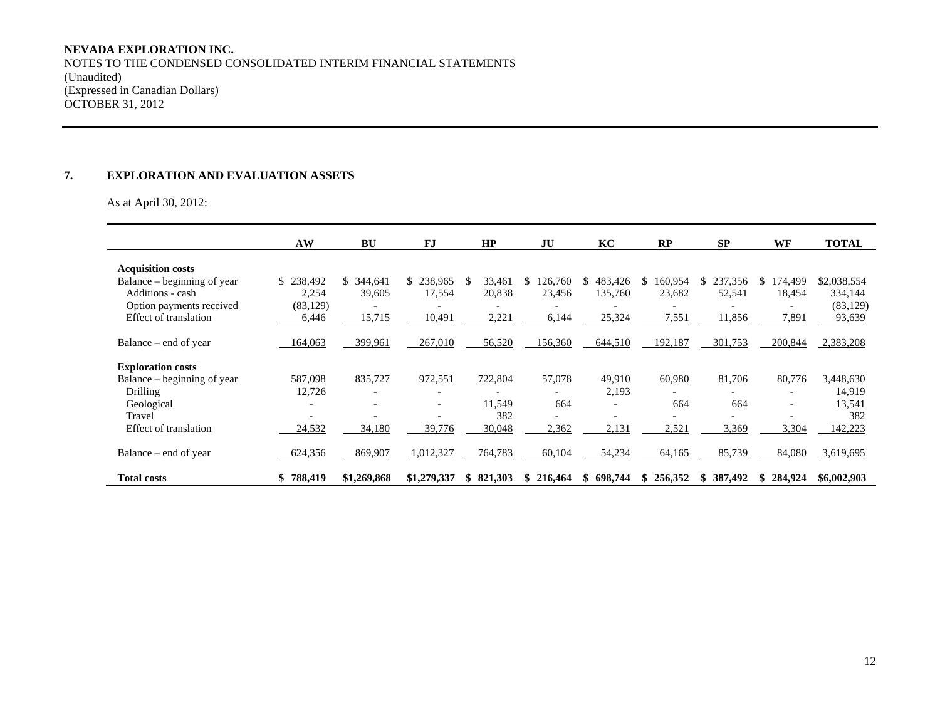#### **NEVADA EXPLORATION INC.**

NOTES TO THE CONDENSED CONSOLIDATED INTERIM FINANCIAL STATEMENTS (Unaudited) (Expressed in Canadian Dollars) OCTOBER 31, 2012

#### **7. EXPLORATION AND EVALUATION ASSETS**

As at April 30, 2012:

|                             | AW             | <b>BU</b>                | <b>FJ</b>                | HP            | JU      | KC                       | RP                       | <b>SP</b>                | WF                       | <b>TOTAL</b> |
|-----------------------------|----------------|--------------------------|--------------------------|---------------|---------|--------------------------|--------------------------|--------------------------|--------------------------|--------------|
| <b>Acquisition costs</b>    |                |                          |                          |               |         |                          |                          |                          |                          |              |
| Balance – beginning of year | \$238,492      | S.<br>344,641            | \$<br>238,965            | \$.<br>33,461 | 126,760 | 483,426<br>S.            | 160,954<br>S.            | 237,356<br>S.            | 174,499<br>S.            | \$2,038,554  |
| Additions - cash            | 2,254          | 39,605                   | 17,554                   | 20,838        | 23,456  | 135,760                  | 23,682                   | 52,541                   | 18,454                   | 334,144      |
| Option payments received    | (83, 129)      |                          | -                        |               |         |                          |                          |                          | $\overline{\phantom{0}}$ | (83, 129)    |
| Effect of translation       | 6,446          | 15,715                   | 10,491                   | 2,221         | 6,144   | 25,324                   | 7,551                    | 11,856                   | 7,891                    | 93,639       |
|                             |                |                          |                          |               |         |                          |                          |                          |                          |              |
| Balance – end of year       | 164,063        | 399,961                  | 267,010                  | 56,520        | 156,360 | 644,510                  | 192,187                  | 301,753                  | 200,844                  | 2,383,208    |
| <b>Exploration costs</b>    |                |                          |                          |               |         |                          |                          |                          |                          |              |
| Balance – beginning of year | 587,098        | 835,727                  | 972,551                  | 722,804       | 57,078  | 49,910                   | 60,980                   | 81,706                   | 80,776                   | 3,448,630    |
| Drilling                    | 12,726         |                          |                          |               |         | 2,193                    |                          |                          | $\overline{\phantom{a}}$ | 14,919       |
| Geological                  |                | $\overline{\phantom{0}}$ | $\overline{\phantom{a}}$ | 11,549        | 664     | $\overline{\phantom{a}}$ | 664                      | 664                      | $\overline{\phantom{a}}$ | 13,541       |
| Travel                      |                |                          | $\overline{\phantom{0}}$ | 382           |         |                          | $\overline{\phantom{0}}$ | $\overline{\phantom{0}}$ |                          | 382          |
| Effect of translation       | 24,532         | 34,180                   | 39,776                   | 30,048        | 2,362   | 2,131                    | 2,521                    | 3,369                    | 3,304                    | 142,223      |
| Balance – end of year       | 624,356        | 869,907                  | 1,012,327                | 764,783       | 60,104  | 54,234                   | 64,165                   | 85,739                   | 84,080                   | 3,619,695    |
| <b>Total costs</b>          | 788,419<br>SS. | \$1,269,868              | \$1,279,337              | \$821,303     | 216,464 | 698.744<br>S.            | 256,352<br>\$.           | 387,492<br>Ж.            | 284,924<br>S.            | \$6,002,903  |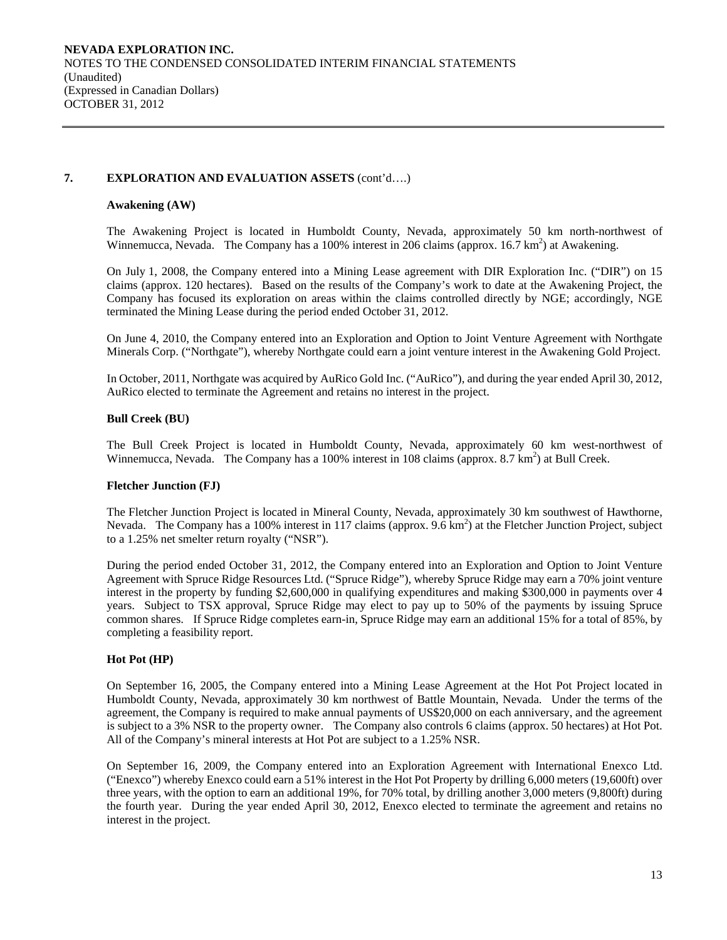## **7. EXPLORATION AND EVALUATION ASSETS** (cont'd….)

### **Awakening (AW)**

The Awakening Project is located in Humboldt County, Nevada, approximately 50 km north-northwest of Winnemucca, Nevada. The Company has a 100% interest in 206 claims (approx.  $16.7 \text{ km}^2$ ) at Awakening.

On July 1, 2008, the Company entered into a Mining Lease agreement with DIR Exploration Inc. ("DIR") on 15 claims (approx. 120 hectares). Based on the results of the Company's work to date at the Awakening Project, the Company has focused its exploration on areas within the claims controlled directly by NGE; accordingly, NGE terminated the Mining Lease during the period ended October 31, 2012.

On June 4, 2010, the Company entered into an Exploration and Option to Joint Venture Agreement with Northgate Minerals Corp. ("Northgate"), whereby Northgate could earn a joint venture interest in the Awakening Gold Project.

In October, 2011, Northgate was acquired by AuRico Gold Inc. ("AuRico"), and during the year ended April 30, 2012, AuRico elected to terminate the Agreement and retains no interest in the project.

## **Bull Creek (BU)**

The Bull Creek Project is located in Humboldt County, Nevada, approximately 60 km west-northwest of Winnemucca, Nevada. The Company has a 100% interest in 108 claims (approx.  $8.7 \text{ km}^2$ ) at Bull Creek.

#### **Fletcher Junction (FJ)**

The Fletcher Junction Project is located in Mineral County, Nevada, approximately 30 km southwest of Hawthorne, Nevada. The Company has a 100% interest in 117 claims (approx. 9.6 km<sup>2</sup>) at the Fletcher Junction Project, subject to a 1.25% net smelter return royalty ("NSR").

During the period ended October 31, 2012, the Company entered into an Exploration and Option to Joint Venture Agreement with Spruce Ridge Resources Ltd. ("Spruce Ridge"), whereby Spruce Ridge may earn a 70% joint venture interest in the property by funding \$2,600,000 in qualifying expenditures and making \$300,000 in payments over 4 years. Subject to TSX approval, Spruce Ridge may elect to pay up to 50% of the payments by issuing Spruce common shares. If Spruce Ridge completes earn-in, Spruce Ridge may earn an additional 15% for a total of 85%, by completing a feasibility report.

## **Hot Pot (HP)**

On September 16, 2005, the Company entered into a Mining Lease Agreement at the Hot Pot Project located in Humboldt County, Nevada, approximately 30 km northwest of Battle Mountain, Nevada. Under the terms of the agreement, the Company is required to make annual payments of US\$20,000 on each anniversary, and the agreement is subject to a 3% NSR to the property owner. The Company also controls 6 claims (approx. 50 hectares) at Hot Pot. All of the Company's mineral interests at Hot Pot are subject to a 1.25% NSR.

On September 16, 2009, the Company entered into an Exploration Agreement with International Enexco Ltd. ("Enexco") whereby Enexco could earn a 51% interest in the Hot Pot Property by drilling 6,000 meters (19,600ft) over three years, with the option to earn an additional 19%, for 70% total, by drilling another 3,000 meters (9,800ft) during the fourth year. During the year ended April 30, 2012, Enexco elected to terminate the agreement and retains no interest in the project.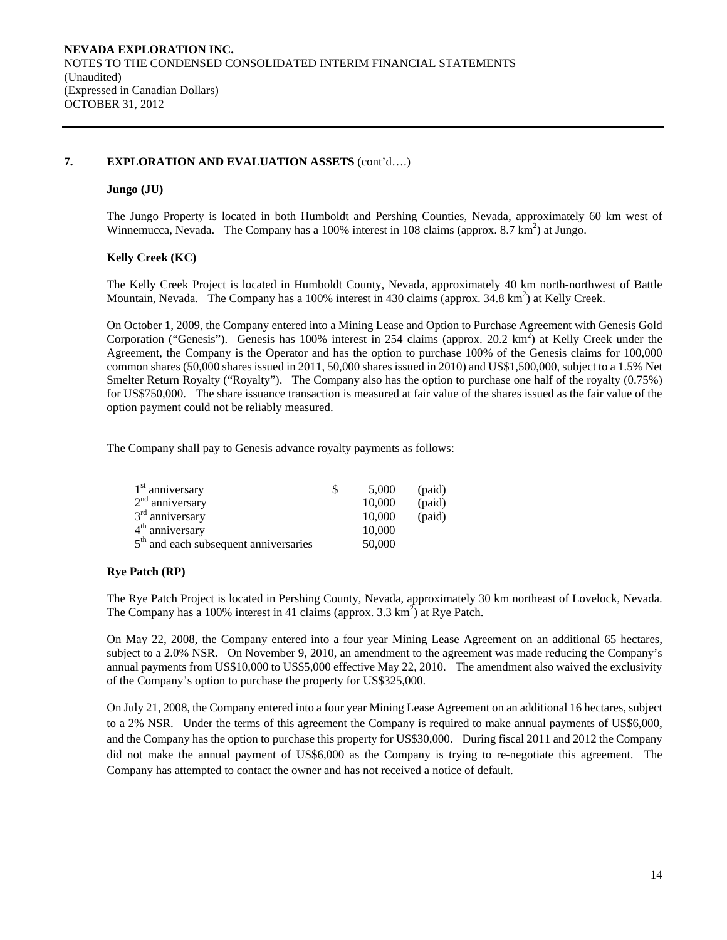## **7. EXPLORATION AND EVALUATION ASSETS** (cont'd….)

## **Jungo (JU)**

The Jungo Property is located in both Humboldt and Pershing Counties, Nevada, approximately 60 km west of Winnemucca, Nevada. The Company has a 100% interest in 108 claims (approx.  $8.7 \text{ km}^2$ ) at Jungo.

## **Kelly Creek (KC)**

The Kelly Creek Project is located in Humboldt County, Nevada, approximately 40 km north-northwest of Battle Mountain, Nevada. The Company has a 100% interest in 430 claims (approx. 34.8 km<sup>2</sup>) at Kelly Creek.

On October 1, 2009, the Company entered into a Mining Lease and Option to Purchase Agreement with Genesis Gold Corporation ("Genesis"). Genesis has 100% interest in 254 claims (approx. 20.2 km<sup>2</sup>) at Kelly Creek under the Agreement, the Company is the Operator and has the option to purchase 100% of the Genesis claims for 100,000 common shares (50,000 shares issued in 2011, 50,000 shares issued in 2010) and US\$1,500,000, subject to a 1.5% Net Smelter Return Royalty ("Royalty"). The Company also has the option to purchase one half of the royalty (0.75%) for US\$750,000. The share issuance transaction is measured at fair value of the shares issued as the fair value of the option payment could not be reliably measured.

The Company shall pay to Genesis advance royalty payments as follows:

| $1st$ anniversary                                 | S | 5.000  | (paid) |
|---------------------------------------------------|---|--------|--------|
| $2nd$ anniversary                                 |   | 10,000 | (paid) |
| $3rd$ anniversary                                 |   | 10,000 | (paid) |
| $4th$ anniversary                                 |   | 10,000 |        |
| 5 <sup>th</sup> and each subsequent anniversaries |   | 50,000 |        |

## **Rye Patch (RP)**

The Rye Patch Project is located in Pershing County, Nevada, approximately 30 km northeast of Lovelock, Nevada. The Company has a 100% interest in 41 claims (approx.  $3.3 \text{ km}^2$ ) at Rye Patch.

On May 22, 2008, the Company entered into a four year Mining Lease Agreement on an additional 65 hectares, subject to a 2.0% NSR. On November 9, 2010, an amendment to the agreement was made reducing the Company's annual payments from US\$10,000 to US\$5,000 effective May 22, 2010. The amendment also waived the exclusivity of the Company's option to purchase the property for US\$325,000.

On July 21, 2008, the Company entered into a four year Mining Lease Agreement on an additional 16 hectares, subject to a 2% NSR. Under the terms of this agreement the Company is required to make annual payments of US\$6,000, and the Company has the option to purchase this property for US\$30,000. During fiscal 2011 and 2012 the Company did not make the annual payment of US\$6,000 as the Company is trying to re-negotiate this agreement. The Company has attempted to contact the owner and has not received a notice of default.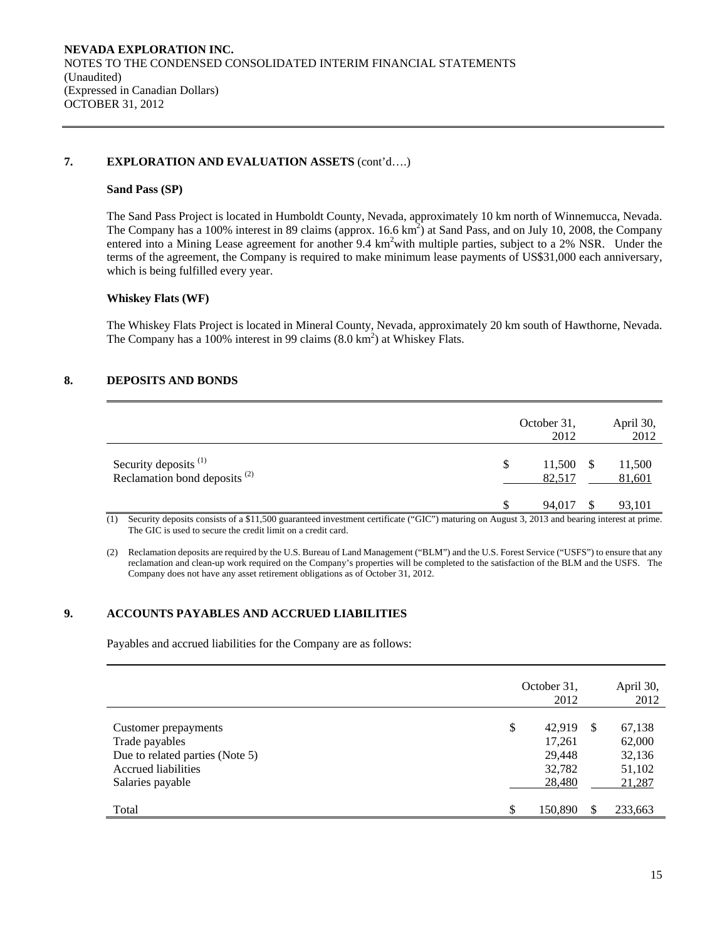## **7. EXPLORATION AND EVALUATION ASSETS** (cont'd….)

#### **Sand Pass (SP)**

The Sand Pass Project is located in Humboldt County, Nevada, approximately 10 km north of Winnemucca, Nevada. The Company has a 100% interest in 89 claims (approx.  $16.6 \text{ km}^2$ ) at Sand Pass, and on July 10, 2008, the Company entered into a Mining Lease agreement for another 9.4 km<sup>2</sup>with multiple parties, subject to a 2% NSR. Under the terms of the agreement, the Company is required to make minimum lease payments of US\$31,000 each anniversary, which is being fulfilled every year.

#### **Whiskey Flats (WF)**

The Whiskey Flats Project is located in Mineral County, Nevada, approximately 20 km south of Hawthorne, Nevada. The Company has a 100% interest in 99 claims  $(8.0 \text{ km}^2)$  at Whiskey Flats.

# **8. DEPOSITS AND BONDS**

|                                                            | October 31,<br>2012       | April 30,<br>2012 |
|------------------------------------------------------------|---------------------------|-------------------|
| Security deposits $(1)$<br>Reclamation bond deposits $(2)$ | \$<br>11,500 \$<br>82,517 | 11,500<br>81,601  |
|                                                            | 94,017                    | 93,101            |

(1) Security deposits consists of a \$11,500 guaranteed investment certificate ("GIC") maturing on August 3, 2013 and bearing interest at prime. The GIC is used to secure the credit limit on a credit card.

(2) Reclamation deposits are required by the U.S. Bureau of Land Management ("BLM") and the U.S. Forest Service ("USFS") to ensure that any reclamation and clean-up work required on the Company's properties will be completed to the satisfaction of the BLM and the USFS. The Company does not have any asset retirement obligations as of October 31, 2012.

## **9. ACCOUNTS PAYABLES AND ACCRUED LIABILITIES**

Payables and accrued liabilities for the Company are as follows:

|                                                                                                                      | October 31, | 2012                                           |    | April 30,<br>2012                              |
|----------------------------------------------------------------------------------------------------------------------|-------------|------------------------------------------------|----|------------------------------------------------|
| Customer prepayments<br>Trade payables<br>Due to related parties (Note 5)<br>Accrued liabilities<br>Salaries payable | \$          | 42.919<br>17,261<br>29,448<br>32,782<br>28,480 | -S | 67,138<br>62,000<br>32,136<br>51,102<br>21,287 |
| Total                                                                                                                | \$          | 150,890                                        | \$ | 233,663                                        |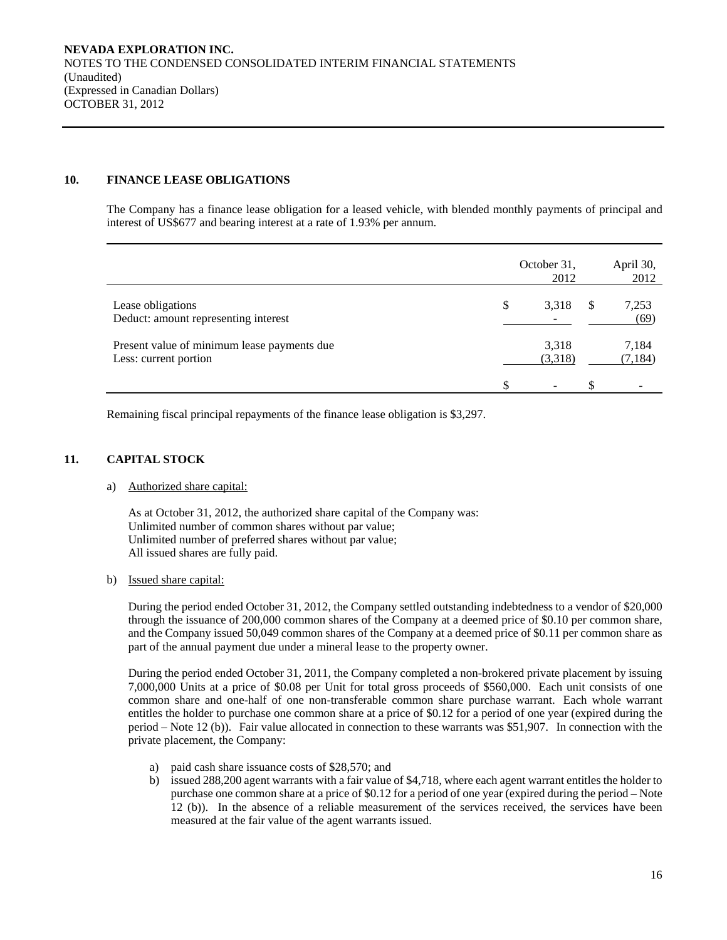# **10. FINANCE LEASE OBLIGATIONS**

The Company has a finance lease obligation for a leased vehicle, with blended monthly payments of principal and interest of US\$677 and bearing interest at a rate of 1.93% per annum.

|                                                                      |    | October 31,<br>2012      |    | April 30,<br>2012 |
|----------------------------------------------------------------------|----|--------------------------|----|-------------------|
| Lease obligations<br>Deduct: amount representing interest            | \$ | 3,318                    | S  | 7,253<br>(69)     |
| Present value of minimum lease payments due<br>Less: current portion |    | 3,318<br>(3,318)         |    | 7,184<br>(7, 184) |
|                                                                      | £. | $\overline{\phantom{a}}$ | £. |                   |

Remaining fiscal principal repayments of the finance lease obligation is \$3,297.

## **11. CAPITAL STOCK**

#### a) Authorized share capital:

As at October 31, 2012, the authorized share capital of the Company was: Unlimited number of common shares without par value; Unlimited number of preferred shares without par value; All issued shares are fully paid.

## b) Issued share capital:

During the period ended October 31, 2012, the Company settled outstanding indebtedness to a vendor of \$20,000 through the issuance of 200,000 common shares of the Company at a deemed price of \$0.10 per common share, and the Company issued 50,049 common shares of the Company at a deemed price of \$0.11 per common share as part of the annual payment due under a mineral lease to the property owner.

 During the period ended October 31, 2011, the Company completed a non-brokered private placement by issuing 7,000,000 Units at a price of \$0.08 per Unit for total gross proceeds of \$560,000. Each unit consists of one common share and one-half of one non-transferable common share purchase warrant. Each whole warrant entitles the holder to purchase one common share at a price of \$0.12 for a period of one year (expired during the period – Note 12 (b)). Fair value allocated in connection to these warrants was \$51,907. In connection with the private placement, the Company:

- a) paid cash share issuance costs of \$28,570; and
- b) issued 288,200 agent warrants with a fair value of \$4,718, where each agent warrant entitles the holder to purchase one common share at a price of \$0.12 for a period of one year (expired during the period – Note 12 (b)). In the absence of a reliable measurement of the services received, the services have been measured at the fair value of the agent warrants issued.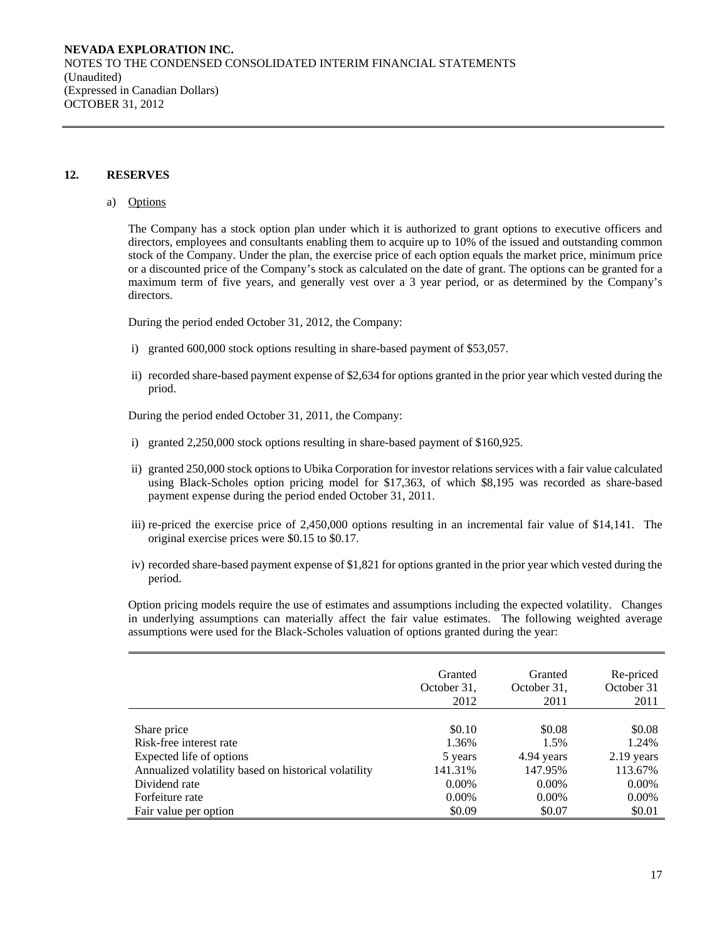## **12. RESERVES**

#### a) Options

The Company has a stock option plan under which it is authorized to grant options to executive officers and directors, employees and consultants enabling them to acquire up to 10% of the issued and outstanding common stock of the Company. Under the plan, the exercise price of each option equals the market price, minimum price or a discounted price of the Company's stock as calculated on the date of grant. The options can be granted for a maximum term of five years, and generally vest over a 3 year period, or as determined by the Company's directors.

During the period ended October 31, 2012, the Company:

- i) granted 600,000 stock options resulting in share-based payment of \$53,057.
- ii) recorded share-based payment expense of \$2,634 for options granted in the prior year which vested during the priod.

During the period ended October 31, 2011, the Company:

- i) granted 2,250,000 stock options resulting in share-based payment of \$160,925.
- ii) granted 250,000 stock options to Ubika Corporation for investor relations services with a fair value calculated using Black-Scholes option pricing model for \$17,363, of which \$8,195 was recorded as share-based payment expense during the period ended October 31, 2011.
- iii) re-priced the exercise price of 2,450,000 options resulting in an incremental fair value of \$14,141. The original exercise prices were \$0.15 to \$0.17.
- iv) recorded share-based payment expense of \$1,821 for options granted in the prior year which vested during the period.

Option pricing models require the use of estimates and assumptions including the expected volatility. Changes in underlying assumptions can materially affect the fair value estimates. The following weighted average assumptions were used for the Black-Scholes valuation of options granted during the year:

|                                                      | Granted     | Granted     | Re-priced  |
|------------------------------------------------------|-------------|-------------|------------|
|                                                      | October 31, | October 31, | October 31 |
|                                                      | 2012        | 2011        | 2011       |
| Share price                                          | \$0.10      | \$0.08      | \$0.08     |
| Risk-free interest rate                              | 1.36%       | 1.5%        | 1.24%      |
| Expected life of options                             | 5 years     | 4.94 years  | 2.19 years |
| Annualized volatility based on historical volatility | 141.31%     | 147.95%     | 113.67%    |
| Dividend rate                                        | $0.00\%$    | $0.00\%$    | $0.00\%$   |
| Forfeiture rate                                      | $0.00\%$    | $0.00\%$    | $0.00\%$   |
| Fair value per option                                | \$0.09      | \$0.07      | \$0.01     |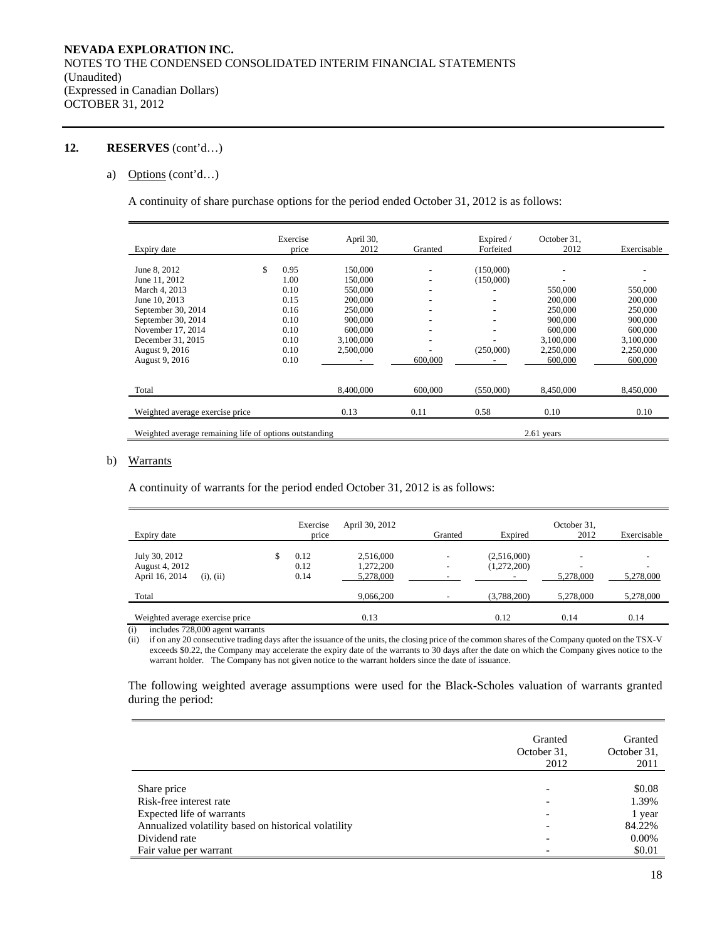## **12. RESERVES** (cont'd…)

## a) Options (cont'd…)

A continuity of share purchase options for the period ended October 31, 2012 is as follows:

| Expiry date                                            | Exercise<br>price | April 30,<br>2012 | Granted                  | Expired /<br>Forfeited | October 31,<br>2012 | Exercisable |
|--------------------------------------------------------|-------------------|-------------------|--------------------------|------------------------|---------------------|-------------|
|                                                        | \$<br>0.95        |                   |                          |                        |                     |             |
| June 8, 2012                                           |                   | 150,000           |                          | (150,000)              |                     |             |
| June 11, 2012                                          | 1.00              | 150,000           |                          | (150,000)              |                     |             |
| March 4, 2013                                          | 0.10              | 550,000           | $\overline{\phantom{a}}$ |                        | 550,000             | 550,000     |
| June 10, 2013                                          | 0.15              | 200,000           |                          | -                      | 200,000             | 200,000     |
| September 30, 2014                                     | 0.16              | 250,000           |                          | -                      | 250,000             | 250,000     |
| September 30, 2014                                     | 0.10              | 900,000           |                          | -                      | 900,000             | 900,000     |
| November 17, 2014                                      | 0.10              | 600,000           |                          |                        | 600,000             | 600,000     |
| December 31, 2015                                      | 0.10              | 3.100.000         | $\overline{\phantom{a}}$ |                        | 3.100.000           | 3,100,000   |
| August 9, 2016                                         | 0.10              | 2,500,000         |                          | (250,000)              | 2,250,000           | 2,250,000   |
| August 9, 2016                                         | 0.10              |                   | 600,000                  |                        | 600,000             | 600,000     |
| Total                                                  |                   | 8,400,000         | 600,000                  | (550.000)              | 8,450,000           | 8,450,000   |
| Weighted average exercise price                        |                   | 0.13              | 0.11                     | 0.58                   | 0.10                | 0.10        |
| Weighted average remaining life of options outstanding |                   |                   |                          |                        | $2.61$ years        |             |

#### b) Warrants

A continuity of warrants for the period ended October 31, 2012 is as follows:

| Expiry date                                                                                                                                                                                                   | Exercise<br>price          | April 30, 2012                      | Granted | Expired                    | October 31,<br>2012                   | Exercisable |
|---------------------------------------------------------------------------------------------------------------------------------------------------------------------------------------------------------------|----------------------------|-------------------------------------|---------|----------------------------|---------------------------------------|-------------|
| July 30, 2012<br>August 4, 2012<br>April 16, 2014<br>(i), (ii)                                                                                                                                                | \$<br>0.12<br>0.12<br>0.14 | 2,516,000<br>1,272,200<br>5,278,000 | -       | (2,516,000)<br>(1,272,200) | $\overline{\phantom{a}}$<br>5.278,000 | 5,278,000   |
| Total                                                                                                                                                                                                         |                            | 9,066,200                           |         | (3,788,200)                | 5.278,000                             | 5,278,000   |
| Weighted average exercise price<br>$\sim$ $\sim$ $\sim$ $\sim$ $\sim$ $\sim$ $\sim$ $\sim$<br>the contract of the contract of the contract of the contract of the contract of the contract of the contract of |                            | 0.13                                |         | 0.12                       | 0.14                                  | 0.14        |

(i) includes 728,000 agent warrants

(ii) if on any 20 consecutive trading days after the issuance of the units, the closing price of the common shares of the Company quoted on the TSX-V exceeds \$0.22, the Company may accelerate the expiry date of the warrants to 30 days after the date on which the Company gives notice to the warrant holder. The Company has not given notice to the warrant holders since the date of issuance.

The following weighted average assumptions were used for the Black-Scholes valuation of warrants granted during the period:

|                                                      | Granted<br>October 31,<br>2012 | Granted<br>October 31,<br>2011 |
|------------------------------------------------------|--------------------------------|--------------------------------|
|                                                      |                                |                                |
| Share price                                          | ۰                              | \$0.08                         |
| Risk-free interest rate                              | $\overline{\phantom{0}}$       | 1.39%                          |
| Expected life of warrants                            |                                | 1 year                         |
| Annualized volatility based on historical volatility | $\overline{\phantom{0}}$       | 84.22%                         |
| Dividend rate                                        | $\overline{\phantom{0}}$       | 0.00%                          |
| Fair value per warrant                               |                                | \$0.01                         |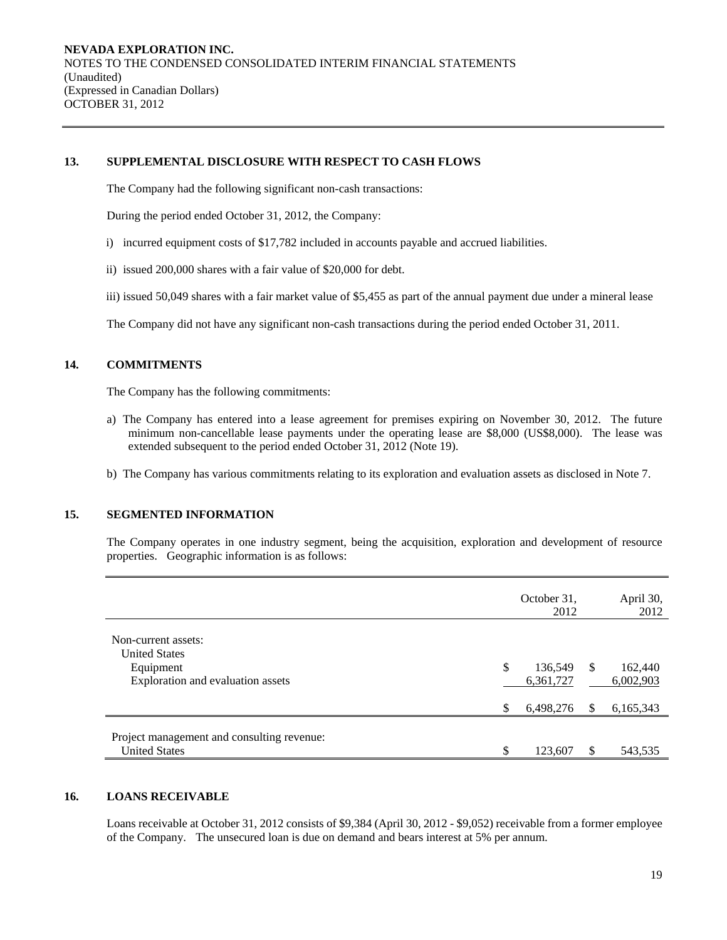## **13. SUPPLEMENTAL DISCLOSURE WITH RESPECT TO CASH FLOWS**

The Company had the following significant non-cash transactions:

During the period ended October 31, 2012, the Company:

- i) incurred equipment costs of \$17,782 included in accounts payable and accrued liabilities.
- ii) issued 200,000 shares with a fair value of \$20,000 for debt.
- iii) issued 50,049 shares with a fair market value of \$5,455 as part of the annual payment due under a mineral lease
- The Company did not have any significant non-cash transactions during the period ended October 31, 2011.

## **14. COMMITMENTS**

The Company has the following commitments:

- a) The Company has entered into a lease agreement for premises expiring on November 30, 2012. The future minimum non-cancellable lease payments under the operating lease are \$8,000 (US\$8,000). The lease was extended subsequent to the period ended October 31, 2012 (Note 19).
- b) The Company has various commitments relating to its exploration and evaluation assets as disclosed in Note 7.

## **15. SEGMENTED INFORMATION**

The Company operates in one industry segment, being the acquisition, exploration and development of resource properties. Geographic information is as follows:

|                                                                    | October 31,<br>2012        |    | April 30,<br>2012    |
|--------------------------------------------------------------------|----------------------------|----|----------------------|
| Non-current assets:<br><b>United States</b>                        |                            |    |                      |
| Equipment<br>Exploration and evaluation assets                     | \$<br>136,549<br>6,361,727 | -S | 162,440<br>6,002,903 |
|                                                                    | \$<br>6,498,276            | S  | 6,165,343            |
| Project management and consulting revenue:<br><b>United States</b> | 123,607                    | S  | 543,535              |

# **16. LOANS RECEIVABLE**

Loans receivable at October 31, 2012 consists of \$9,384 (April 30, 2012 - \$9,052) receivable from a former employee of the Company. The unsecured loan is due on demand and bears interest at 5% per annum.